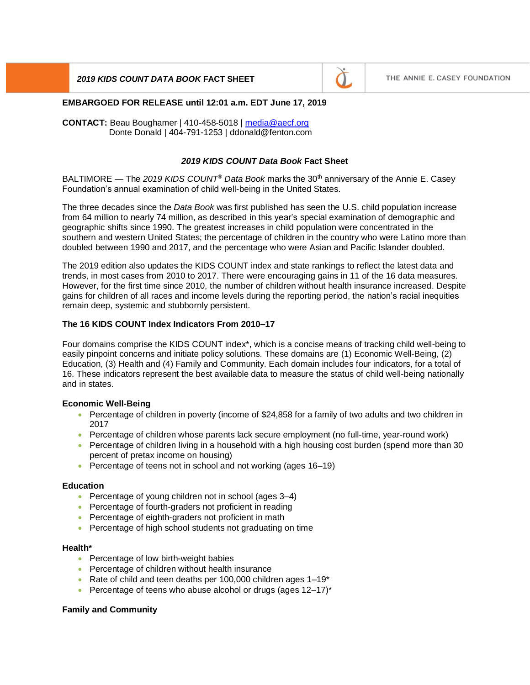# *2019 KIDS COUNT DATA BOOK* **FACT SHEET**



### **EMBARGOED FOR RELEASE until 12:01 a.m. EDT June 17, 2019**

**CONTACT:** Beau Boughamer | 410-458-5018 | [media@aecf.org](mailto:media@aecf.org) Donte Donald | 404-791-1253 | ddonald@fenton.com

## *2019 KIDS COUNT Data Book* **Fact Sheet**

BALTIMORE — The *2019 KIDS COUNT® Data Book* marks the 30th anniversary of the Annie E. Casey Foundation's annual examination of child well-being in the United States.

The three decades since the *Data Book* was first published has seen the U.S. child population increase from 64 million to nearly 74 million, as described in this year's special examination of demographic and geographic shifts since 1990. The greatest increases in child population were concentrated in the southern and western United States; the percentage of children in the country who were Latino more than doubled between 1990 and 2017, and the percentage who were Asian and Pacific Islander doubled.

The 2019 edition also updates the KIDS COUNT index and state rankings to reflect the latest data and trends, in most cases from 2010 to 2017. There were encouraging gains in 11 of the 16 data measures. However, for the first time since 2010, the number of children without health insurance increased. Despite gains for children of all races and income levels during the reporting period, the nation's racial inequities remain deep, systemic and stubbornly persistent.

# **The 16 KIDS COUNT Index Indicators From 2010–17**

Four domains comprise the KIDS COUNT index\*, which is a concise means of tracking child well-being to easily pinpoint concerns and initiate policy solutions. These domains are (1) Economic Well-Being, (2) Education, (3) Health and (4) Family and Community. Each domain includes four indicators, for a total of 16. These indicators represent the best available data to measure the status of child well-being nationally and in states.

## **Economic Well-Being**

- Percentage of children in poverty (income of \$24,858 for a family of two adults and two children in 2017
- Percentage of children whose parents lack secure employment (no full-time, year-round work)
- Percentage of children living in a household with a high housing cost burden (spend more than 30 percent of pretax income on housing)
- Percentage of teens not in school and not working (ages 16–19)

#### **Education**

- Percentage of young children not in school (ages 3-4)
- Percentage of fourth-graders not proficient in reading
- Percentage of eighth-graders not proficient in math
- Percentage of high school students not graduating on time

#### **Health\***

- Percentage of low birth-weight babies
- Percentage of children without health insurance
- Rate of child and teen deaths per 100,000 children ages 1-19\*
- Percentage of teens who abuse alcohol or drugs (ages  $12-17$ )\*

#### **Family and Community**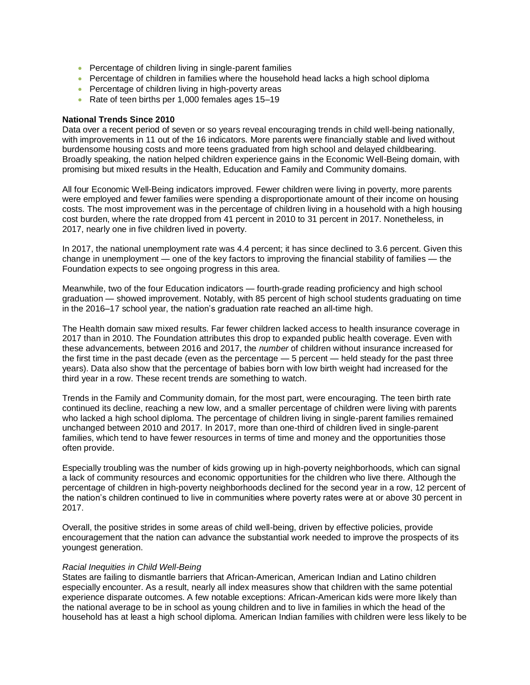- Percentage of children living in single-parent families
- Percentage of children in families where the household head lacks a high school diploma
- Percentage of children living in high-poverty areas
- Rate of teen births per 1,000 females ages 15–19

### **National Trends Since 2010**

Data over a recent period of seven or so years reveal encouraging trends in child well-being nationally, with improvements in 11 out of the 16 indicators. More parents were financially stable and lived without burdensome housing costs and more teens graduated from high school and delayed childbearing. Broadly speaking, the nation helped children experience gains in the Economic Well-Being domain, with promising but mixed results in the Health, Education and Family and Community domains.

All four Economic Well-Being indicators improved. Fewer children were living in poverty, more parents were employed and fewer families were spending a disproportionate amount of their income on housing costs. The most improvement was in the percentage of children living in a household with a high housing cost burden, where the rate dropped from 41 percent in 2010 to 31 percent in 2017. Nonetheless, in 2017, nearly one in five children lived in poverty.

In 2017, the national unemployment rate was 4.4 percent; it has since declined to 3.6 percent. Given this change in unemployment — one of the key factors to improving the financial stability of families — the Foundation expects to see ongoing progress in this area.

Meanwhile, two of the four Education indicators — fourth-grade reading proficiency and high school graduation — showed improvement. Notably, with 85 percent of high school students graduating on time in the 2016–17 school year, the nation's graduation rate reached an all-time high.

The Health domain saw mixed results. Far fewer children lacked access to health insurance coverage in 2017 than in 2010. The Foundation attributes this drop to expanded public health coverage. Even with these advancements, between 2016 and 2017, the *number* of children without insurance increased for the first time in the past decade (even as the percentage — 5 percent — held steady for the past three years). Data also show that the percentage of babies born with low birth weight had increased for the third year in a row. These recent trends are something to watch.

Trends in the Family and Community domain, for the most part, were encouraging. The teen birth rate continued its decline, reaching a new low, and a smaller percentage of children were living with parents who lacked a high school diploma. The percentage of children living in single-parent families remained unchanged between 2010 and 2017. In 2017, more than one-third of children lived in single-parent families, which tend to have fewer resources in terms of time and money and the opportunities those often provide.

Especially troubling was the number of kids growing up in high-poverty neighborhoods, which can signal a lack of community resources and economic opportunities for the children who live there. Although the percentage of children in high-poverty neighborhoods declined for the second year in a row, 12 percent of the nation's children continued to live in communities where poverty rates were at or above 30 percent in 2017.

Overall, the positive strides in some areas of child well-being, driven by effective policies, provide encouragement that the nation can advance the substantial work needed to improve the prospects of its youngest generation.

#### *Racial Inequities in Child Well-Being*

States are failing to dismantle barriers that African-American, American Indian and Latino children especially encounter. As a result, nearly all index measures show that children with the same potential experience disparate outcomes. A few notable exceptions: African-American kids were more likely than the national average to be in school as young children and to live in families in which the head of the household has at least a high school diploma. American Indian families with children were less likely to be